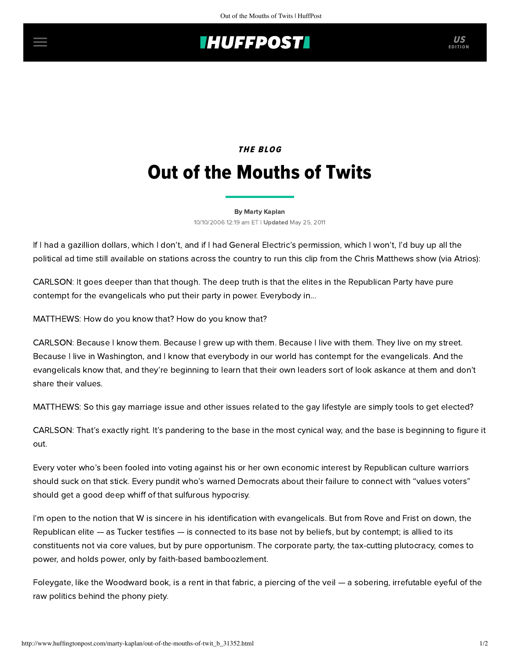## **INUFFPOSTI** US

# **THE BLOG** Out of the Mouths of Twits

#### [By Marty Kaplan](http://www.huffingtonpost.com/author/marty-kaplan)

10/10/2006 12:19 am ET | Updated May 25, 2011

If I had a gazillion dollars, which I don't, and if I had General Electric's permission, which I won't, I'd buy up all the political ad time still available on stations across the country to run this clip from the Chris Matthews show (via Atrios):

CARLSON: It goes deeper than that though. The deep truth is that the elites in the Republican Party have pure contempt for the evangelicals who put their party in power. Everybody in...

MATTHEWS: How do you know that? How do you know that?

CARLSON: Because I know them. Because I grew up with them. Because I live with them. They live on my street. Because I live in Washington, and I know that everybody in our world has contempt for the evangelicals. And the evangelicals know that, and they're beginning to learn that their own leaders sort of look askance at them and don't share their values.

MATTHEWS: So this gay marriage issue and other issues related to the gay lifestyle are simply tools to get elected?

CARLSON: That's exactly right. It's pandering to the base in the most cynical way, and the base is beginning to figure it out.

Every voter who's been fooled into voting against his or her own economic interest by Republican culture warriors should suck on that stick. Every pundit who's warned Democrats about their failure to connect with "values voters" should get a good deep whiff of that sulfurous hypocrisy.

I'm open to the notion that W is sincere in his identification with evangelicals. But from Rove and Frist on down, the Republican elite — as Tucker testifies — is connected to its base not by beliefs, but by contempt; is allied to its constituents not via core values, but by pure opportunism. The corporate party, the tax-cutting plutocracy, comes to power, and holds power, only by faith-based bamboozlement.

Foleygate, like the Woodward book, is a rent in that fabric, a piercing of the veil — a sobering, irrefutable eyeful of the raw politics behind the phony piety.